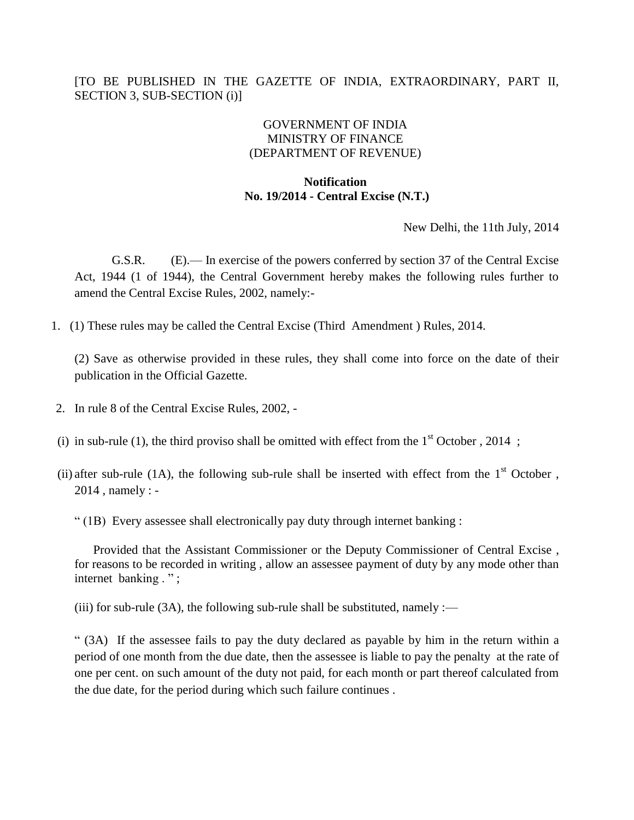## [TO BE PUBLISHED IN THE GAZETTE OF INDIA, EXTRAORDINARY, PART II, SECTION 3, SUB-SECTION (i)]

## GOVERNMENT OF INDIA MINISTRY OF FINANCE (DEPARTMENT OF REVENUE)

## **Notification No. 19/2014 - Central Excise (N.T.)**

New Delhi, the 11th July, 2014

G.S.R. (E).— In exercise of the powers conferred by section 37 of the Central Excise Act, 1944 (1 of 1944), the Central Government hereby makes the following rules further to amend the Central Excise Rules, 2002, namely:-

1. (1) These rules may be called the Central Excise (Third Amendment ) Rules, 2014.

(2) Save as otherwise provided in these rules, they shall come into force on the date of their publication in the Official Gazette.

- 2. In rule 8 of the Central Excise Rules, 2002, -
- (i) in sub-rule (1), the third proviso shall be omitted with effect from the  $1<sup>st</sup>$  October , 2014 ;
- (ii) after sub-rule (1A), the following sub-rule shall be inserted with effect from the  $1<sup>st</sup>$  October, 2014 , namely : -
	- " (1B) Every assessee shall electronically pay duty through internet banking :

 Provided that the Assistant Commissioner or the Deputy Commissioner of Central Excise , for reasons to be recorded in writing , allow an assessee payment of duty by any mode other than internet banking . " ;

(iii) for sub-rule (3A), the following sub-rule shall be substituted, namely :—

" (3A) If the assessee fails to pay the duty declared as payable by him in the return within a period of one month from the due date, then the assessee is liable to pay the penalty at the rate of one per cent. on such amount of the duty not paid, for each month or part thereof calculated from the due date, for the period during which such failure continues .